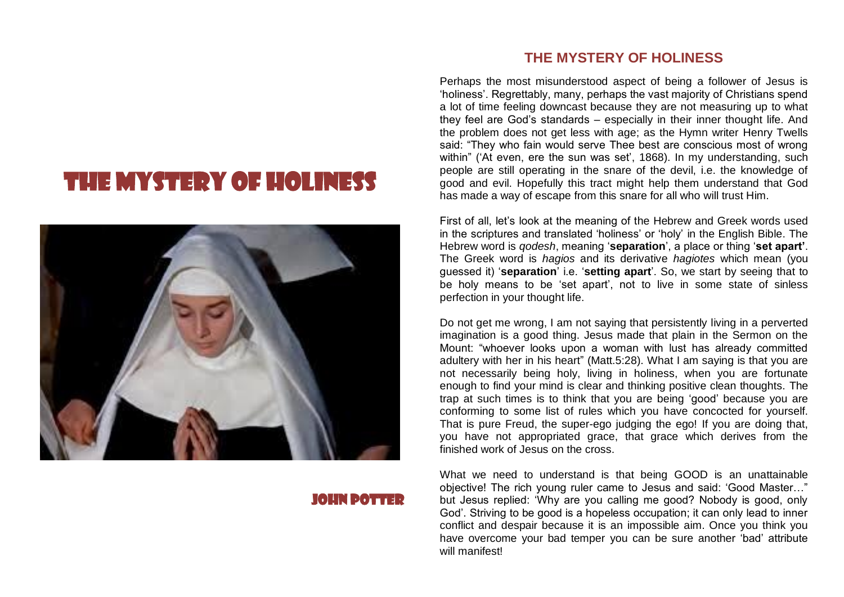# THE MYSTERY OF HOLINESS



### JOHN POTTER

## **THE MYSTERY OF HOLINESS**

Perhaps the most misunderstood aspect of being a follower of Jesus is 'holiness'. Regrettably, many, perhaps the vast majority of Christians spend a lot of time feeling downcast because they are not measuring up to what they feel are God's standards – especially in their inner thought life. And the problem does not get less with age; as the Hymn writer Henry Twells said: "They who fain would serve Thee best are conscious most of wrong within" ('At even, ere the sun was set', 1868). In my understanding, such people are still operating in the snare of the devil, i.e. the knowledge of good and evil. Hopefully this tract might help them understand that God has made a way of escape from this snare for all who will trust Him.

First of all, let's look at the meaning of the Hebrew and Greek words used in the scriptures and translated 'holiness' or 'holy' in the English Bible. The Hebrew word is *qodesh*, meaning '**separation**', a place or thing '**set apart'**. The Greek word is *hagios* and its derivative *hagiotes* which mean (you guessed it) '**separation**' i.e. '**setting apart**'. So, we start by seeing that to be holy means to be 'set apart', not to live in some state of sinless perfection in your thought life.

Do not get me wrong, I am not saying that persistently living in a perverted imagination is a good thing. Jesus made that plain in the Sermon on the Mount: "whoever looks upon a woman with lust has already committed adultery with her in his heart" (Matt.5:28). What I am saying is that you are not necessarily being holy, living in holiness, when you are fortunate enough to find your mind is clear and thinking positive clean thoughts. The trap at such times is to think that you are being 'good' because you are conforming to some list of rules which you have concocted for yourself. That is pure Freud, the super-ego judging the ego! If you are doing that, you have not appropriated grace, that grace which derives from the finished work of Jesus on the cross.

What we need to understand is that being GOOD is an unattainable objective! The rich young ruler came to Jesus and said: 'Good Master…" but Jesus replied: 'Why are you calling me good? Nobody is good, only God'. Striving to be good is a hopeless occupation; it can only lead to inner conflict and despair because it is an impossible aim. Once you think you have overcome your bad temper you can be sure another 'bad' attribute will manifest!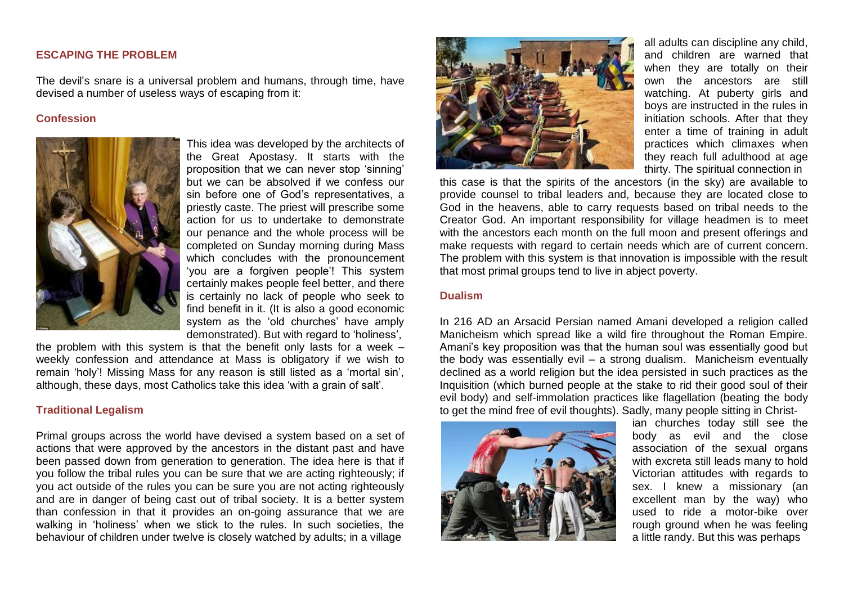#### **ESCAPING THE PROBLEM**

The devil's snare is a universal problem and humans, through time, have devised a number of useless ways of escaping from it:

#### **Confession**



This idea was developed by the architects of the Great Apostasy. It starts with the proposition that we can never stop 'sinning' but we can be absolved if we confess our sin before one of God's representatives, a priestly caste. The priest will prescribe some action for us to undertake to demonstrate our penance and the whole process will be completed on Sunday morning during Mass which concludes with the pronouncement 'you are a forgiven people'! This system certainly makes people feel better, and there is certainly no lack of people who seek to find benefit in it. (It is also a good economic system as the 'old churches' have amply demonstrated). But with regard to 'holiness',

the problem with this system is that the benefit only lasts for a week  $$ weekly confession and attendance at Mass is obligatory if we wish to remain 'holy'! Missing Mass for any reason is still listed as a 'mortal sin', although, these days, most Catholics take this idea 'with a grain of salt'.

#### **Traditional Legalism**

Primal groups across the world have devised a system based on a set of actions that were approved by the ancestors in the distant past and have been passed down from generation to generation. The idea here is that if you follow the tribal rules you can be sure that we are acting righteously; if you act outside of the rules you can be sure you are not acting righteously and are in danger of being cast out of tribal society. It is a better system than confession in that it provides an on-going assurance that we are walking in 'holiness' when we stick to the rules. In such societies, the behaviour of children under twelve is closely watched by adults; in a village



all adults can discipline any child, and children are warned that when they are totally on their own the ancestors are still watching. At puberty girls and boys are instructed in the rules in initiation schools. After that they enter a time of training in adult practices which climaxes when they reach full adulthood at age thirty. The spiritual connection in

this case is that the spirits of the ancestors (in the sky) are available to provide counsel to tribal leaders and, because they are located close to God in the heavens, able to carry requests based on tribal needs to the Creator God. An important responsibility for village headmen is to meet with the ancestors each month on the full moon and present offerings and make requests with regard to certain needs which are of current concern. The problem with this system is that innovation is impossible with the result that most primal groups tend to live in abject poverty.

#### **Dualism**

In 216 AD an Arsacid Persian named Amani developed a religion called Manicheism which spread like a wild fire throughout the Roman Empire. Amani's key proposition was that the human soul was essentially good but the body was essentially evil – a strong dualism. Manicheism eventually declined as a world religion but the idea persisted in such practices as the Inquisition (which burned people at the stake to rid their good soul of their evil body) and self-immolation practices like flagellation (beating the body to get the mind free of evil thoughts). Sadly, many people sitting in Christ-



ian churches today still see the body as evil and the close association of the sexual organs with excreta still leads many to hold Victorian attitudes with regards to sex. I knew a missionary (an excellent man by the way) who used to ride a motor-bike over rough ground when he was feeling a little randy. But this was perhaps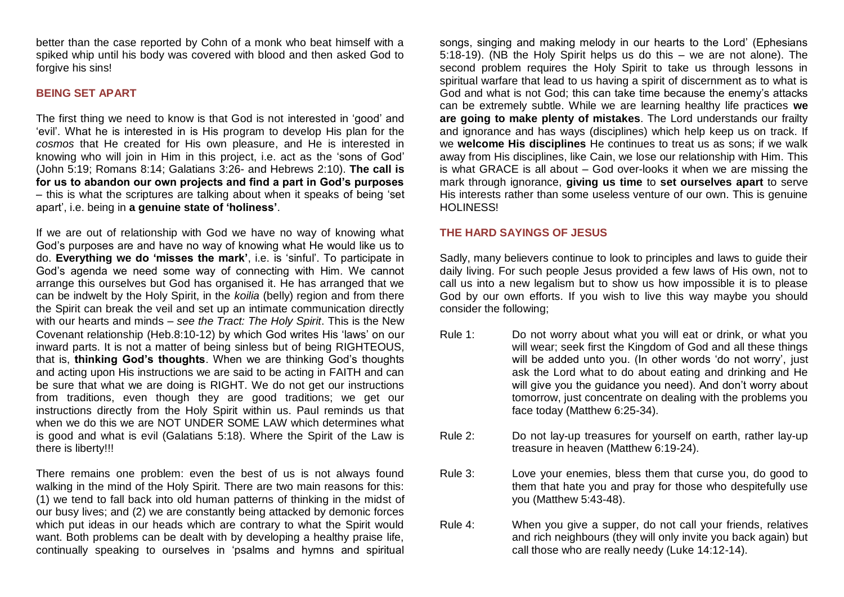better than the case reported by Cohn of a monk who beat himself with a spiked whip until his body was covered with blood and then asked God to forgive his sins!

#### **BEING SET APART**

The first thing we need to know is that God is not interested in 'good' and 'evil'. What he is interested in is His program to develop His plan for the *cosmos* that He created for His own pleasure, and He is interested in knowing who will join in Him in this project, i.e. act as the 'sons of God' (John 5:19; Romans 8:14; Galatians 3:26- and Hebrews 2:10). **The call is for us to abandon our own projects and find a part in God's purposes** – this is what the scriptures are talking about when it speaks of being 'set apart', i.e. being in **a genuine state of 'holiness'**.

If we are out of relationship with God we have no way of knowing what God's purposes are and have no way of knowing what He would like us to do. **Everything we do 'misses the mark'**, i.e. is 'sinful'. To participate in God's agenda we need some way of connecting with Him. We cannot arrange this ourselves but God has organised it. He has arranged that we can be indwelt by the Holy Spirit, in the *koilia* (belly) region and from there the Spirit can break the veil and set up an intimate communication directly with our hearts and minds – *see the Tract: The Holy Spirit*. This is the New Covenant relationship (Heb.8:10-12) by which God writes His 'laws' on our inward parts. It is not a matter of being sinless but of being RIGHTEOUS, that is, **thinking God's thoughts**. When we are thinking God's thoughts and acting upon His instructions we are said to be acting in FAITH and can be sure that what we are doing is RIGHT. We do not get our instructions from traditions, even though they are good traditions; we get our instructions directly from the Holy Spirit within us. Paul reminds us that when we do this we are NOT UNDER SOME LAW which determines what is good and what is evil (Galatians 5:18). Where the Spirit of the Law is there is liberty!!!

There remains one problem: even the best of us is not always found walking in the mind of the Holy Spirit. There are two main reasons for this: (1) we tend to fall back into old human patterns of thinking in the midst of our busy lives; and (2) we are constantly being attacked by demonic forces which put ideas in our heads which are contrary to what the Spirit would want. Both problems can be dealt with by developing a healthy praise life, continually speaking to ourselves in 'psalms and hymns and spiritual

songs, singing and making melody in our hearts to the Lord' (Ephesians 5:18-19). (NB the Holy Spirit helps us do this – we are not alone). The second problem requires the Holy Spirit to take us through lessons in spiritual warfare that lead to us having a spirit of discernment as to what is God and what is not God; this can take time because the enemy's attacks can be extremely subtle. While we are learning healthy life practices **we are going to make plenty of mistakes**. The Lord understands our frailty and ignorance and has ways (disciplines) which help keep us on track. If we **welcome His disciplines** He continues to treat us as sons; if we walk away from His disciplines, like Cain, we lose our relationship with Him. This is what GRACE is all about – God over-looks it when we are missing the mark through ignorance, **giving us time** to **set ourselves apart** to serve His interests rather than some useless venture of our own. This is genuine HOLINESS!

#### **THE HARD SAYINGS OF JESUS**

Sadly, many believers continue to look to principles and laws to guide their daily living. For such people Jesus provided a few laws of His own, not to call us into a new legalism but to show us how impossible it is to please God by our own efforts. If you wish to live this way maybe you should consider the following;

- Rule 1: Do not worry about what you will eat or drink, or what you will wear; seek first the Kingdom of God and all these things will be added unto you. (In other words 'do not worry', just ask the Lord what to do about eating and drinking and He will give you the guidance you need). And don't worry about tomorrow, just concentrate on dealing with the problems you face today (Matthew 6:25-34).
- Rule 2: Do not lay-up treasures for yourself on earth, rather lay-up treasure in heaven (Matthew 6:19-24).
- Rule 3: Love your enemies, bless them that curse you, do good to them that hate you and pray for those who despitefully use you (Matthew 5:43-48).
- Rule 4: When you give a supper, do not call your friends, relatives and rich neighbours (they will only invite you back again) but call those who are really needy (Luke 14:12-14).